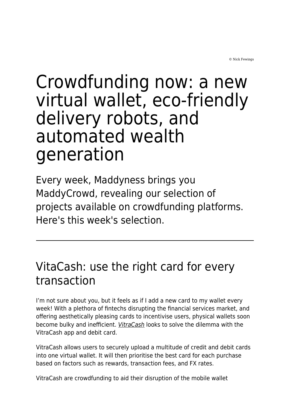© Nick Fewings

# Crowdfunding now: a new virtual wallet, eco-friendly delivery robots, and automated wealth generation

Every week, Maddyness brings you MaddyCrowd, revealing our selection of projects available on crowdfunding platforms. Here's this week's selection.

## VitaCash: use the right card for every transaction

I'm not sure about you, but it feels as if I add a new card to my wallet every week! With a plethora of fintechs disrupting the financial services market, and offering aesthetically pleasing cards to incentivise users, physical wallets soon become bulky and inefficient. [VitraCash](https://www.crowdcube.com/companies/vitracash/pitches/bM058Z) looks to solve the dilemma with the VitraCash app and debit card.

VitraCash allows users to securely upload a multitude of credit and debit cards into one virtual wallet. It will then prioritise the best card for each purchase based on factors such as rewards, transaction fees, and FX rates.

VitraCash are crowdfunding to aid their disruption of the mobile wallet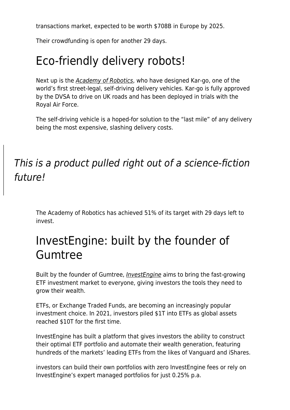transactions market, expected to be worth \$708B in Europe by 2025.

Their crowdfunding is open for another 29 days.

## Eco-friendly delivery robots!

Next up is the [Academy of Robotics](https://www.crowdcube.com/companies/academy-of-robotics/pitches/b9Dz0Z), who have designed Kar-go, one of the world's first street-legal, self-driving delivery vehicles. Kar-go is fully approved by the DVSA to drive on UK roads and has been deployed in trials with the Royal Air Force.

The self-driving vehicle is a hoped-for solution to the "last mile" of any delivery being the most expensive, slashing delivery costs.

#### This is a product pulled right out of a science-fiction future!

The Academy of Robotics has achieved 51% of its target with 29 days left to invest.

#### InvestEngine: built by the founder of Gumtree

Built by the founder of Gumtree, [InvestEngine](https://www.crowdcube.com/companies/investengine-holdings-ltd/pitches/qr9WRb) aims to bring the fast-growing ETF investment market to everyone, giving investors the tools they need to grow their wealth.

ETFs, or Exchange Traded Funds, are becoming an increasingly popular investment choice. In 2021, investors piled \$1T into ETFs as global assets reached \$10T for the first time.

InvestEngine has built a platform that gives investors the ability to construct their optimal ETF portfolio and automate their wealth generation, featuring hundreds of the markets' leading ETFs from the likes of Vanguard and iShares.

investors can build their own portfolios with zero InvestEngine fees or rely on InvestEngine's expert managed portfolios for just 0.25% p.a.